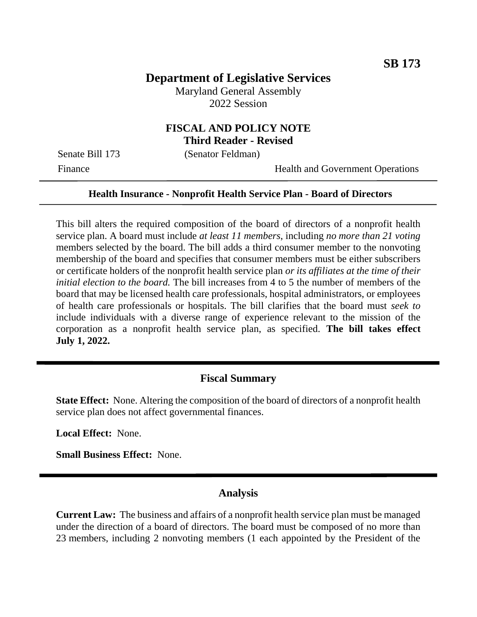# **Department of Legislative Services**

Maryland General Assembly 2022 Session

#### **FISCAL AND POLICY NOTE Third Reader - Revised**

Senate Bill 173 (Senator Feldman)

Finance Health and Government Operations

#### **Health Insurance - Nonprofit Health Service Plan - Board of Directors**

This bill alters the required composition of the board of directors of a nonprofit health service plan. A board must include *at least 11 members*, including *no more than 21 voting* members selected by the board. The bill adds a third consumer member to the nonvoting membership of the board and specifies that consumer members must be either subscribers or certificate holders of the nonprofit health service plan *or its affiliates at the time of their initial election to the board.* The bill increases from 4 to 5 the number of members of the board that may be licensed health care professionals, hospital administrators, or employees of health care professionals or hospitals. The bill clarifies that the board must *seek to* include individuals with a diverse range of experience relevant to the mission of the corporation as a nonprofit health service plan, as specified. **The bill takes effect July 1, 2022.**

## **Fiscal Summary**

**State Effect:** None. Altering the composition of the board of directors of a nonprofit health service plan does not affect governmental finances.

**Local Effect:** None.

**Small Business Effect:** None.

### **Analysis**

**Current Law:** The business and affairs of a nonprofit health service plan must be managed under the direction of a board of directors. The board must be composed of no more than 23 members, including 2 nonvoting members (1 each appointed by the President of the